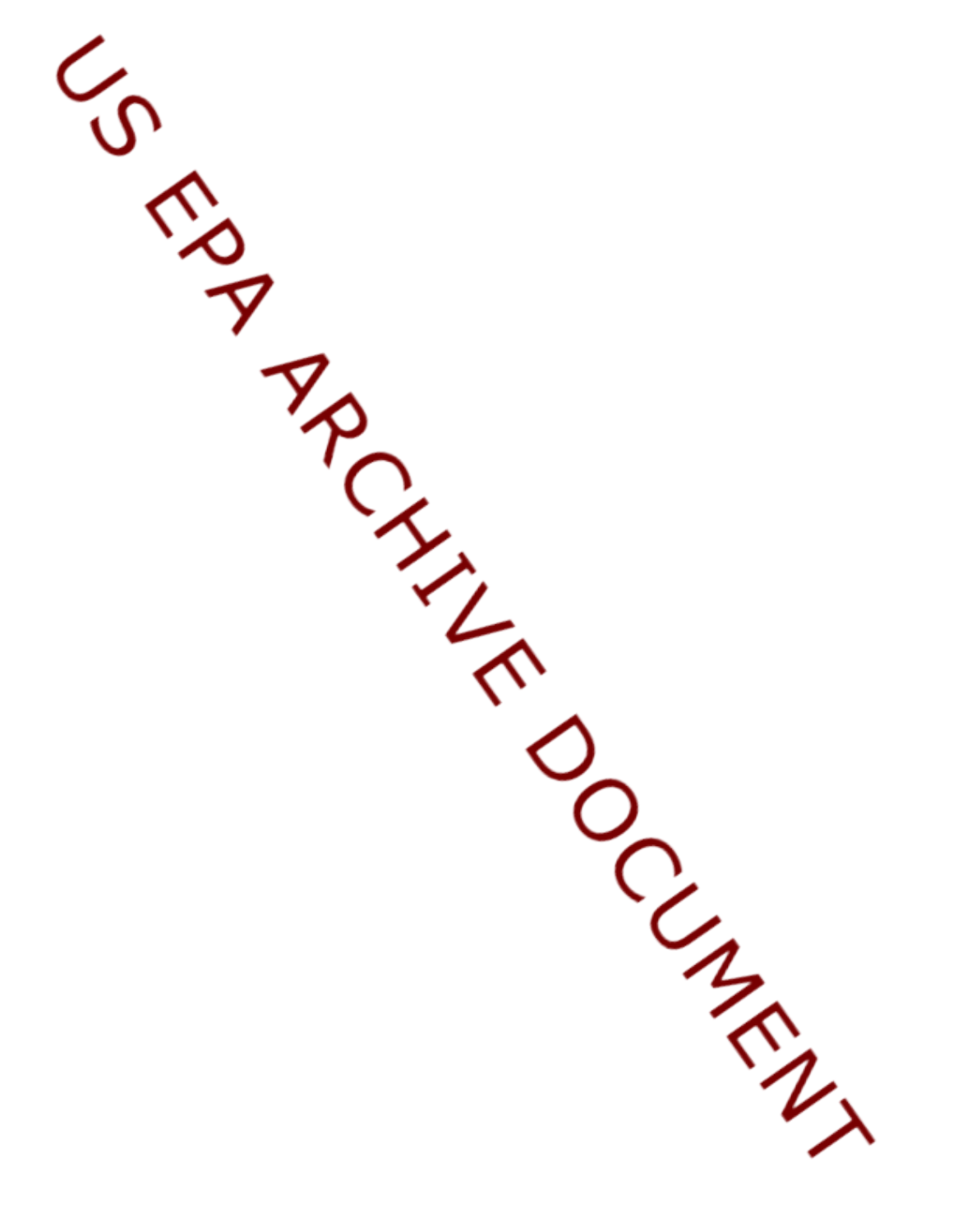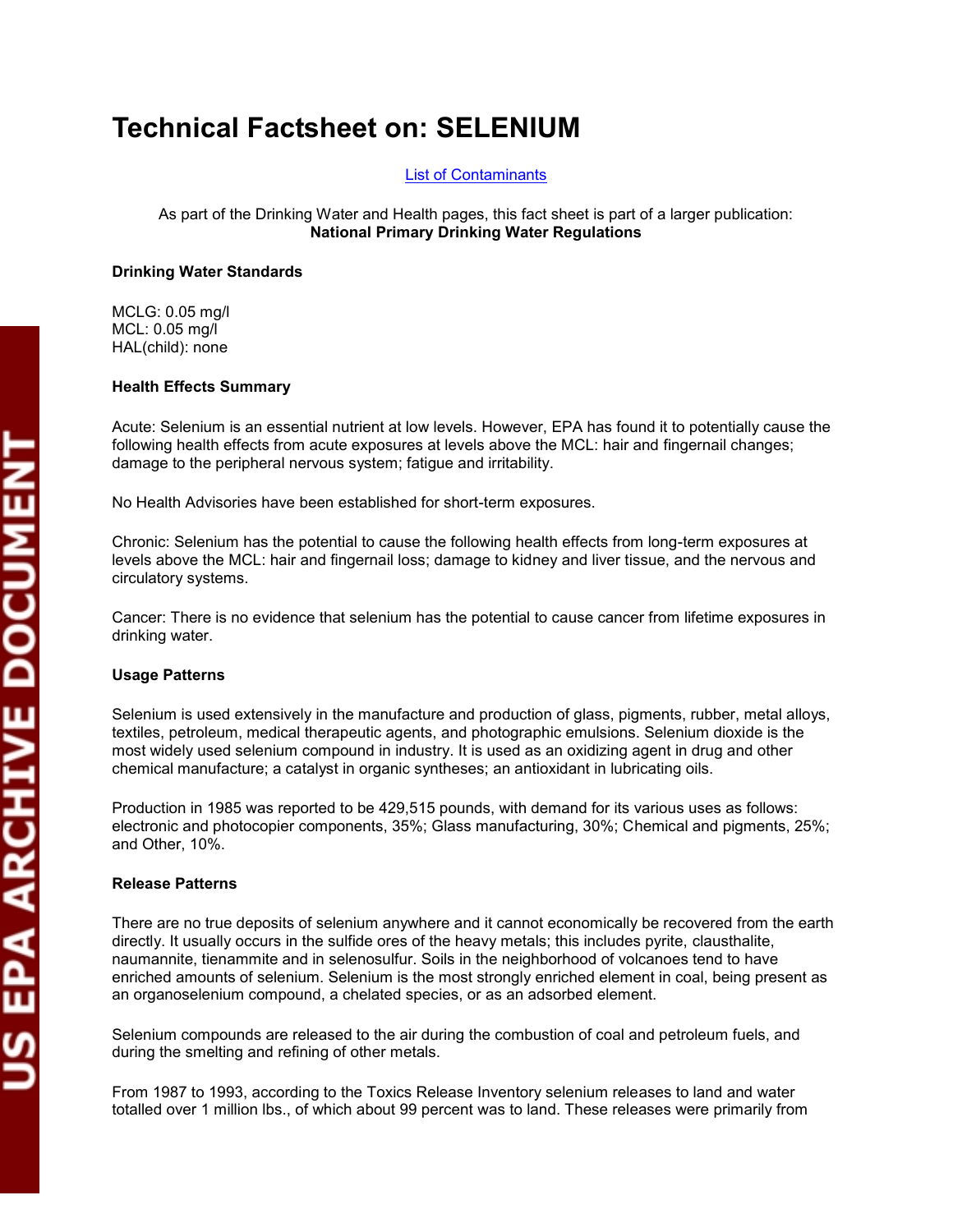# **Technical Factsheet on: SELENIUM**

[List of Contaminants](http://www.epa.gov/safewater/hfacts.html) 

 As part of the Drinking Water and Health pages, this fact sheet is part of a larger publication: **National Primary Drinking Water Regulations** 

## **Drinking Water Standards**

 MCL: 0.05 mg/l MCLG: 0.05 mg/l HAL(child): none

## **Health Effects Summary**

 damage to the peripheral nervous system; fatigue and irritability. Acute: Selenium is an essential nutrient at low levels. However, EPA has found it to potentially cause the following health effects from acute exposures at levels above the MCL: hair and fingernail changes;

No Health Advisories have been established for short-term exposures.

 levels above the MCL: hair and fingernail loss; damage to kidney and liver tissue, and the nervous and Chronic: Selenium has the potential to cause the following health effects from long-term exposures at circulatory systems.

 drinking water. Cancer: There is no evidence that selenium has the potential to cause cancer from lifetime exposures in

## **Usage Patterns**

Selenium is used extensively in the manufacture and production of glass, pigments, rubber, metal alloys, textiles, petroleum, medical therapeutic agents, and photographic emulsions. Selenium dioxide is the most widely used selenium compound in industry. It is used as an oxidizing agent in drug and other chemical manufacture; a catalyst in organic syntheses; an antioxidant in lubricating oils.

Production in 1985 was reported to be 429,515 pounds, with demand for its various uses as follows: electronic and photocopier components, 35%; Glass manufacturing, 30%; Chemical and pigments, 25%; and Other, 10%.

## **Release Patterns**

 enriched amounts of selenium. Selenium is the most strongly enriched element in coal, being present as There are no true deposits of selenium anywhere and it cannot economically be recovered from the earth directly. It usually occurs in the sulfide ores of the heavy metals; this includes pyrite, clausthalite, naumannite, tienammite and in selenosulfur. Soils in the neighborhood of volcanoes tend to have an organoselenium compound, a chelated species, or as an adsorbed element.

Selenium compounds are released to the air during the combustion of coal and petroleum fuels, and during the smelting and refining of other metals.

 From 1987 to 1993, according to the Toxics Release Inventory selenium releases to land and water totalled over 1 million lbs., of which about 99 percent was to land. These releases were primarily from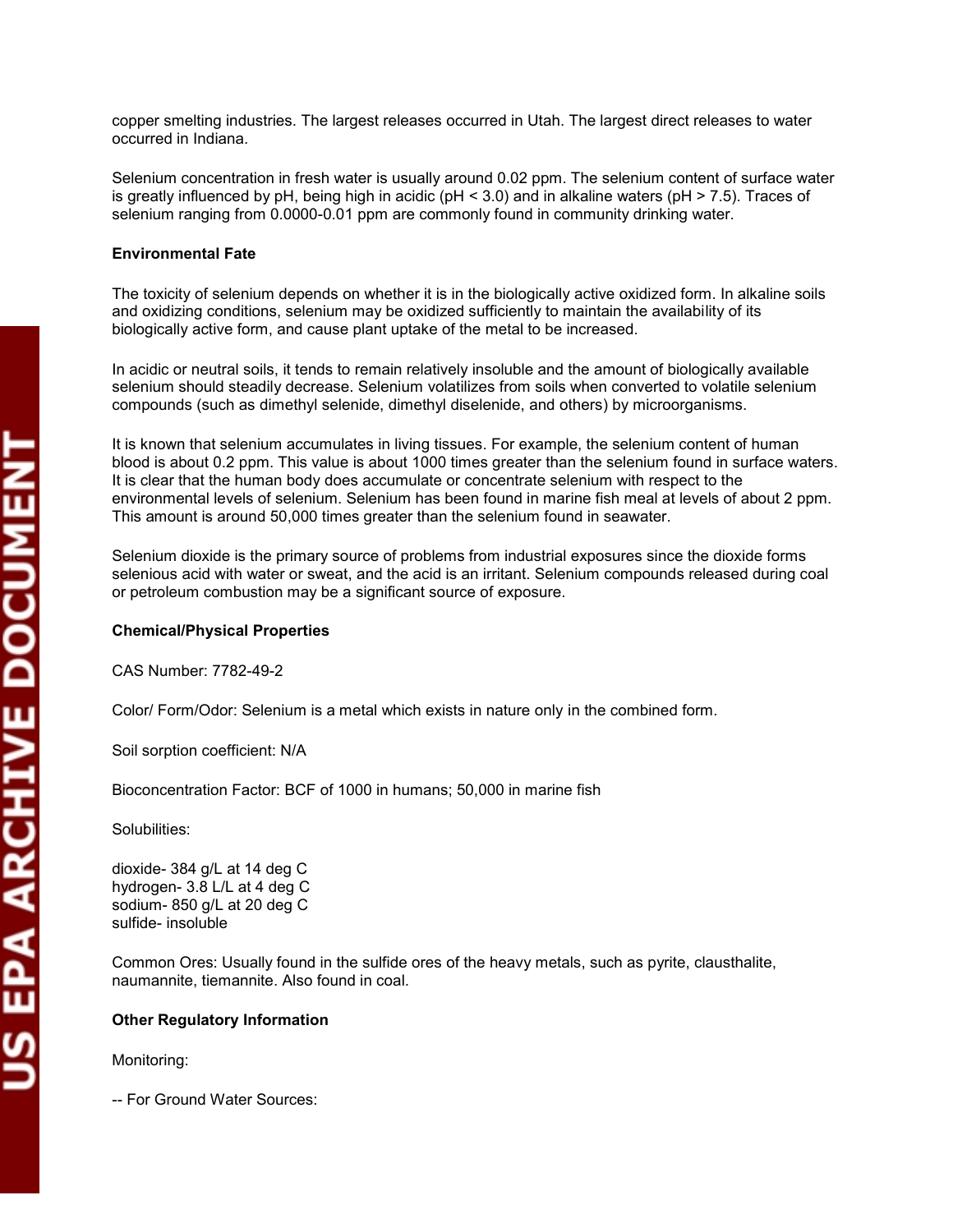copper smelting industries. The largest releases occurred in Utah. The largest direct releases to water occurred in Indiana.

 selenium ranging from 0.0000-0.01 ppm are commonly found in community drinking water. Selenium concentration in fresh water is usually around 0.02 ppm. The selenium content of surface water is greatly influenced by pH, being high in acidic ( $pH < 3.0$ ) and in alkaline waters ( $pH > 7.5$ ). Traces of

## **Environmental Fate**

 The toxicity of selenium depends on whether it is in the biologically active oxidized form. In alkaline soils and oxidizing conditions, selenium may be oxidized sufficiently to maintain the availability of its biologically active form, and cause plant uptake of the metal to be increased.

In acidic or neutral soils, it tends to remain relatively insoluble and the amount of biologically available selenium should steadily decrease. Selenium volatilizes from soils when converted to volatile selenium compounds (such as dimethyl selenide, dimethyl diselenide, and others) by microorganisms.

It is known that selenium accumulates in living tissues. For example, the selenium content of human blood is about 0.2 ppm. This value is about 1000 times greater than the selenium found in surface waters. It is clear that the human body does accumulate or concentrate selenium with respect to the environmental levels of selenium. Selenium has been found in marine fish meal at levels of about 2 ppm. This amount is around 50,000 times greater than the selenium found in seawater.

Selenium dioxide is the primary source of problems from industrial exposures since the dioxide forms selenious acid with water or sweat, and the acid is an irritant. Selenium compounds released during coal or petroleum combustion may be a significant source of exposure.

#### **Chemical/Physical Properties**

CAS Number: 7782-49-2

Color/ Form/Odor: Selenium is a metal which exists in nature only in the combined form.

Soil sorption coefficient: N/A

Bioconcentration Factor: BCF of 1000 in humans; 50,000 in marine fish

Solubilities:

 dioxide- 384 g/L at 14 deg C hydrogen- 3.8 L/L at 4 deg C sodium- 850 g/L at 20 deg C sulfide- insoluble

Common Ores: Usually found in the sulfide ores of the heavy metals, such as pyrite, clausthalite, naumannite, tiemannite. Also found in coal.

#### **Other Regulatory Information**

Monitoring:

-- For Ground Water Sources: